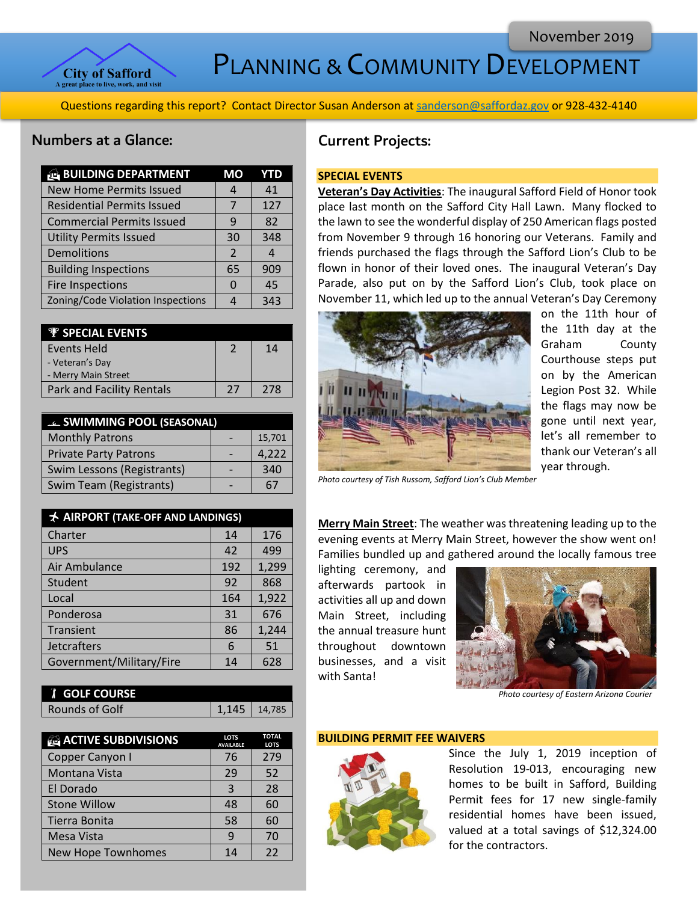

PLANNING & COMMUNITY DEVELOPMENT

Questions regarding this report? Contact Director Susan Anderson a[t sanderson@saffordaz.gov](mailto:sanderson@saffordaz.gov) or 928-432-4140

## Numbers at a Glance:

| <b>BUILDING DEPARTMENT</b>        | МO             | YTD |
|-----------------------------------|----------------|-----|
| <b>New Home Permits Issued</b>    |                | 41  |
| <b>Residential Permits Issued</b> |                | 127 |
| <b>Commercial Permits Issued</b>  | q              | 82  |
| <b>Utility Permits Issued</b>     | 30             | 348 |
| Demolitions                       | $\overline{2}$ | 4   |
| <b>Building Inspections</b>       | 65             | 909 |
| <b>Fire Inspections</b>           | $\Omega$       | 45  |
| Zoning/Code Violation Inspections |                | 343 |

| <b>P</b> SPECIAL EVENTS   |               |     |
|---------------------------|---------------|-----|
| Events Held               | $\mathcal{P}$ | 14  |
| - Veteran's Day           |               |     |
| - Merry Main Street       |               |     |
| Park and Facility Rentals | 27            | 278 |

| <b>E. SWIMMING POOL (SEASONAL)</b> |  |        |
|------------------------------------|--|--------|
| <b>Monthly Patrons</b>             |  | 15,701 |
| <b>Private Party Patrons</b>       |  | 4,222  |
| Swim Lessons (Registrants)         |  | 340    |
| <b>Swim Team (Registrants)</b>     |  | h.     |

| AIRPORT (TAKE-OFF AND LANDINGS) |     |       |
|---------------------------------|-----|-------|
| Charter                         | 14  | 176   |
| <b>UPS</b>                      | 42  | 499   |
| Air Ambulance                   | 192 | 1,299 |
| Student                         | 92  | 868   |
| Local                           | 164 | 1,922 |
| Ponderosa                       | 31  | 676   |
| Transient                       | 86  | 1,244 |
| <b>Jetcrafters</b>              | 6   | 51    |
| Government/Military/Fire        | 14  | 628   |

| <b><i>I</i></b> GOLF COURSE |                |
|-----------------------------|----------------|
| Rounds of Golf              | $1,145$ 14,785 |

| <b>ACTIVE SUBDIVISIONS</b> | <b>LOTS</b><br><b>AVAILABLE</b> | <b>TOTAL</b><br><b>LOTS</b> |
|----------------------------|---------------------------------|-----------------------------|
| Copper Canyon I            | 76                              | 279                         |
| Montana Vista              | 29                              | 52                          |
| El Dorado                  | 3                               | 28                          |
| <b>Stone Willow</b>        | 48                              | 60                          |
| Tierra Bonita              | 58                              | 60                          |
| Mesa Vista                 | q                               | 70                          |
| <b>New Hope Townhomes</b>  | 14                              | 22                          |

# Current Projects:

## **SPECIAL EVENTS**

**Veteran's Day Activities**: The inaugural Safford Field of Honor took place last month on the Safford City Hall Lawn. Many flocked to the lawn to see the wonderful display of 250 American flags posted from November 9 through 16 honoring our Veterans. Family and friends purchased the flags through the Safford Lion's Club to be flown in honor of their loved ones. The inaugural Veteran's Day Parade, also put on by the Safford Lion's Club, took place on November 11, which led up to the annual Veteran's Day Ceremony



on the 11th hour of the 11th day at the Graham County Courthouse steps put on by the American Legion Post 32. While the flags may now be gone until next year, let's all remember to thank our Veteran's all year through.

*Photo courtesy of Tish Russom, Safford Lion's Club Member*

**Merry Main Street**: The weather was threatening leading up to the evening events at Merry Main Street, however the show went on! Families bundled up and gathered around the locally famous tree

lighting ceremony, and afterwards partook in activities all up and down Main Street, including the annual treasure hunt throughout downtown businesses, and a visit with Santa!



 *Photo courtesy of Eastern Arizona Courier* 

#### **BUILDING PERMIT FEE WAIVERS**



Since the July 1, 2019 inception of Resolution 19-013, encouraging new homes to be built in Safford, Building Permit fees for 17 new single-family residential homes have been issued, valued at a total savings of \$12,324.00 for the contractors.